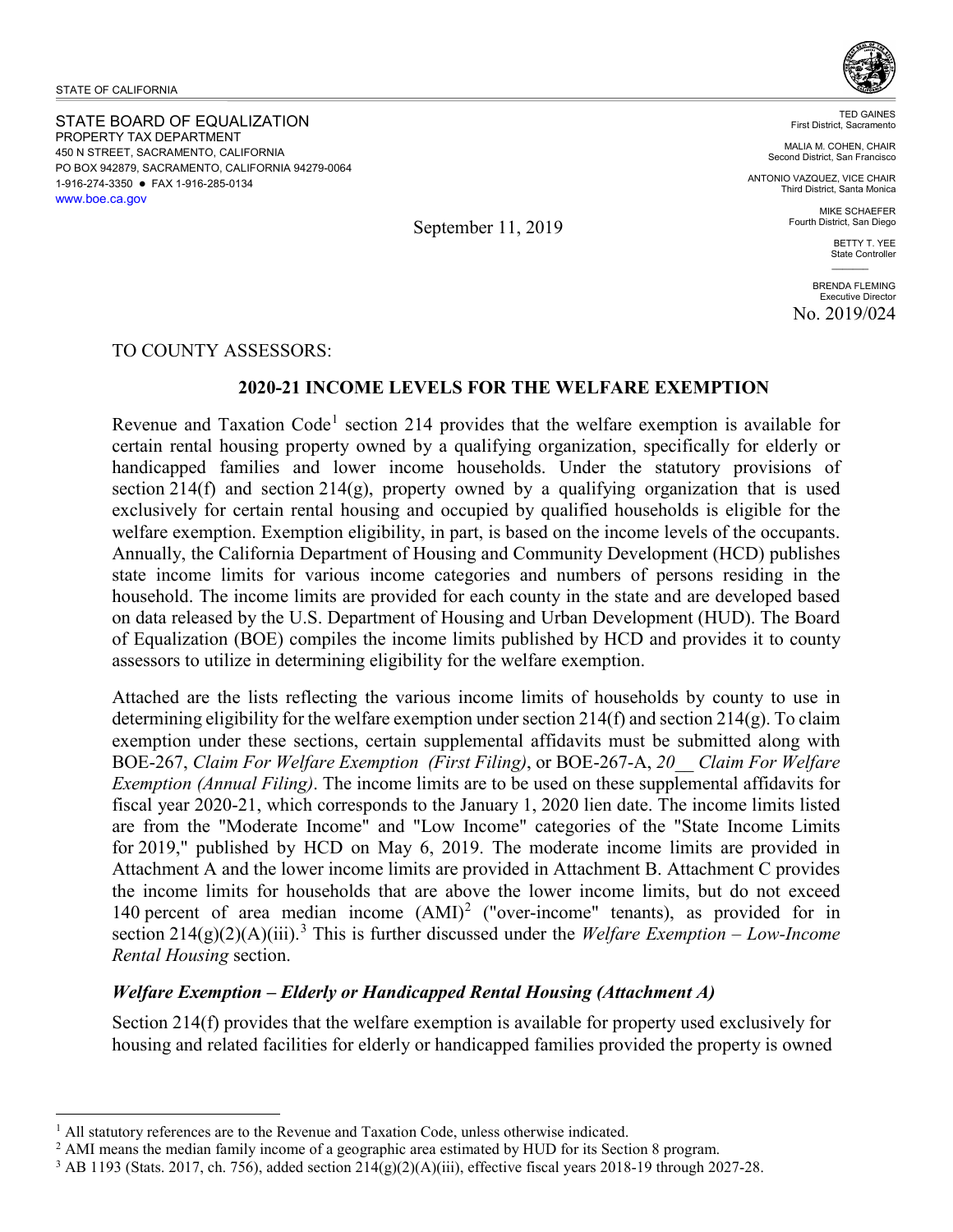STATE OF CALIFORNIA

STATE BOARD OF EQUALIZATION PROPERTY TAX DEPARTMENT 450 N STREET, SACRAMENTO, CALIFORNIA PO BOX 942879, SACRAMENTO, CALIFORNIA 94279-0064 1-916-274-3350 FAX 1-916-285-0134 [www.boe.ca.gov](http://www.boe.ca.gov/)



TED GAINES First District, Sacramento

MALIA M. COHEN, CHAIR Second District, San Francisco

ANTONIO VAZQUEZ, VICE CHAIR Third District, Santa Monica

> MIKE SCHAEFER Fourth District, San Diego

> > BETTY T. YEE State Controller  $\mathcal{L}=\mathcal{L}$

BRENDA FLEMING Executive Director No. 2019/024

TO COUNTY ASSESSORS:

# **2020-21 INCOME LEVELS FOR THE WELFARE EXEMPTION**

Revenue and Taxation Code<sup>[1](#page-0-0)</sup> section 214 provides that the welfare exemption is available for certain rental housing property owned by a qualifying organization, specifically for elderly or handicapped families and lower income households. Under the statutory provisions of section 214(f) and section 214(g), property owned by a qualifying organization that is used exclusively for certain rental housing and occupied by qualified households is eligible for the welfare exemption. Exemption eligibility, in part, is based on the income levels of the occupants. Annually, the California Department of Housing and Community Development (HCD) publishes state income limits for various income categories and numbers of persons residing in the household. The income limits are provided for each county in the state and are developed based on data released by the U.S. Department of Housing and Urban Development (HUD). The Board of Equalization (BOE) compiles the income limits published by HCD and provides it to county assessors to utilize in determining eligibility for the welfare exemption.

Attached are the lists reflecting the various income limits of households by county to use in determining eligibility for the welfare exemption under section 214(f) and section 214(g). To claim exemption under these sections, certain supplemental affidavits must be submitted along with BOE-267, *Claim For Welfare Exemption (First Filing)*, or BOE-267-A, *20\_\_ Claim For Welfare Exemption (Annual Filing)*. The income limits are to be used on these supplemental affidavits for fiscal year 2020-21, which corresponds to the January 1, 2020 lien date. The income limits listed are from the "Moderate Income" and "Low Income" categories of the "State Income Limits for 2019," published by HCD on May 6, 2019. The moderate income limits are provided in Attachment A and the lower income limits are provided in Attachment B. Attachment C provides the income limits for households that are above the lower income limits, but do not exceed 140 percent of area median income  $(AMI)^2$  $(AMI)^2$  ("over-income" tenants), as provided for in section  $214(g)(2)(A)(iii)$ <sup>[3](#page-0-2)</sup>. This is further discussed under the *Welfare Exemption – Low-Income Rental Housing* section.

# *Welfare Exemption – Elderly or Handicapped Rental Housing (Attachment A)*

Section 214(f) provides that the welfare exemption is available for property used exclusively for housing and related facilities for elderly or handicapped families provided the property is owned

September 11, 2019

<span id="page-0-0"></span> $\overline{a}$ <sup>1</sup> All statutory references are to the Revenue and Taxation Code, unless otherwise indicated.<br><sup>2</sup> AMI means the median family income of a geographic area estimated by HUD for its Section 8 program.

<span id="page-0-2"></span><span id="page-0-1"></span><sup>&</sup>lt;sup>3</sup> AB 1193 (Stats. 2017, ch. 756), added section  $214(g)(2)(A)(iii)$ , effective fiscal years 2018-19 through 2027-28.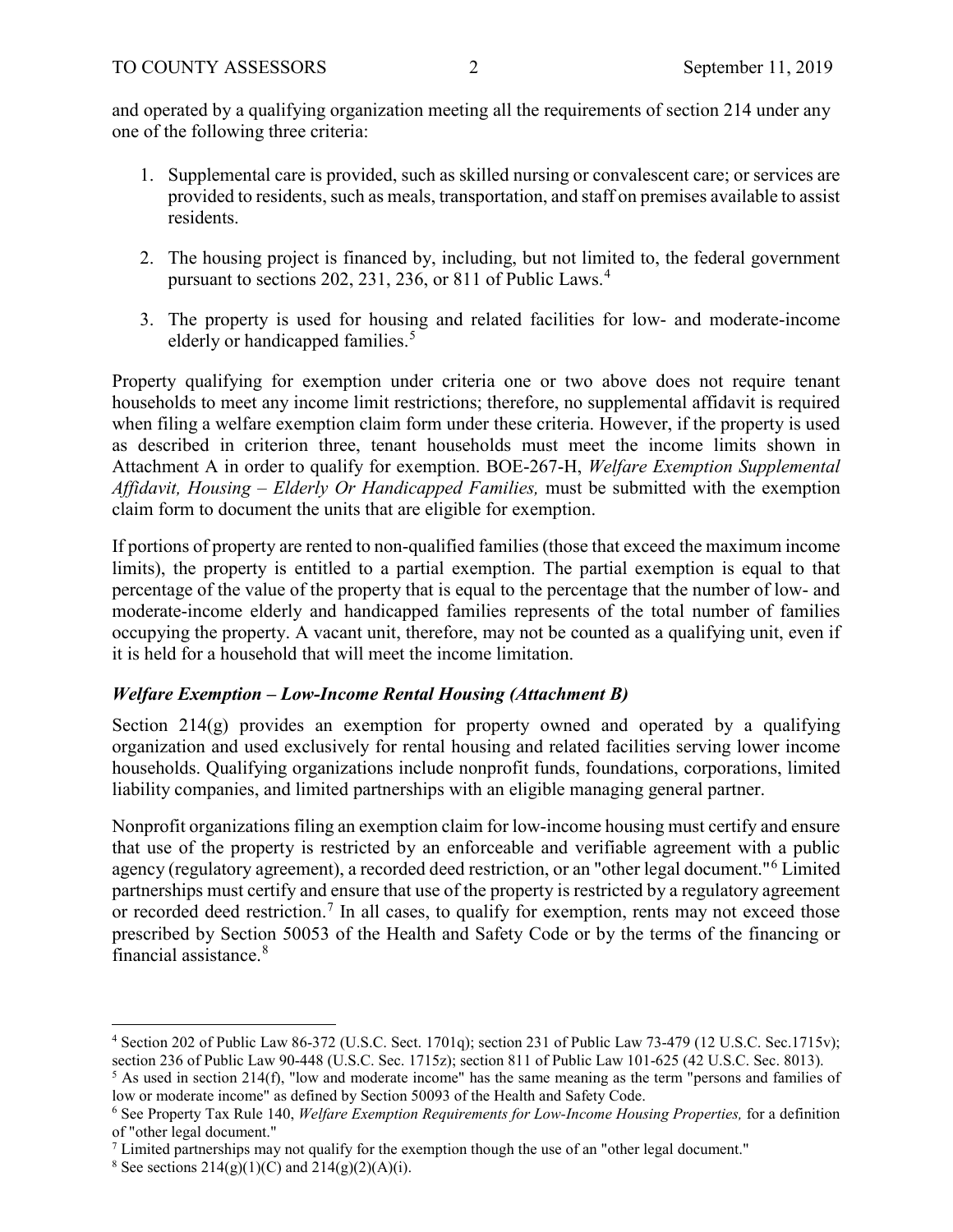and operated by a qualifying organization meeting all the requirements of section 214 under any one of the following three criteria:

- 1. Supplemental care is provided, such as skilled nursing or convalescent care; or services are provided to residents, such as meals, transportation, and staff on premises available to assist residents.
- 2. The housing project is financed by, including, but not limited to, the federal government pursuant to sections 202, 231, 236, or 811 of Public Laws.<sup>[4](#page-1-0)</sup>
- 3. The property is used for housing and related facilities for low- and moderate-income elderly or handicapped families.<sup>[5](#page-1-1)</sup>

Property qualifying for exemption under criteria one or two above does not require tenant households to meet any income limit restrictions; therefore, no supplemental affidavit is required when filing a welfare exemption claim form under these criteria. However, if the property is used as described in criterion three, tenant households must meet the income limits shown in Attachment A in order to qualify for exemption. BOE-267-H, *Welfare Exemption Supplemental Affidavit, Housing – Elderly Or Handicapped Families,* must be submitted with the exemption claim form to document the units that are eligible for exemption.

If portions of property are rented to non-qualified families (those that exceed the maximum income limits), the property is entitled to a partial exemption. The partial exemption is equal to that percentage of the value of the property that is equal to the percentage that the number of low- and moderate-income elderly and handicapped families represents of the total number of families occupying the property. A vacant unit, therefore, may not be counted as a qualifying unit, even if it is held for a household that will meet the income limitation.

# *Welfare Exemption – Low-Income Rental Housing (Attachment B)*

Section  $214(g)$  provides an exemption for property owned and operated by a qualifying organization and used exclusively for rental housing and related facilities serving lower income households. Qualifying organizations include nonprofit funds, foundations, corporations, limited liability companies, and limited partnerships with an eligible managing general partner.

Nonprofit organizations filing an exemption claim for low-income housing must certify and ensure that use of the property is restricted by an enforceable and verifiable agreement with a public agency (regulatory agreement), a recorded deed restriction, or an "other legal document."[6](#page-1-2) Limited partnerships must certify and ensure that use of the property is restricted by a regulatory agreement or recorded deed restriction.<sup>[7](#page-1-3)</sup> In all cases, to qualify for exemption, rents may not exceed those prescribed by Section 50053 of the Health and Safety Code or by the terms of the financing or financial assistance.[8](#page-1-4)

 $\overline{a}$ 

<span id="page-1-0"></span><sup>4</sup> Section 202 of Public Law 86-372 (U.S.C. Sect. 1701q); section 231 of Public Law 73-479 (12 U.S.C. Sec.1715v); section 236 of Public Law 90-448 (U.S.C. Sec. 1715z); section 811 of Public Law 101-625 (42 U.S.C. Sec. 8013).

<span id="page-1-1"></span><sup>&</sup>lt;sup>5</sup> As used in section 214(f), "low and moderate income" has the same meaning as the term "persons and families of low or moderate income" as defined by Section 50093 of the Health and Safety Code.

<span id="page-1-2"></span><sup>6</sup> See Property Tax Rule 140, *Welfare Exemption Requirements for Low-Income Housing Properties,* for a definition of "other legal document."

<span id="page-1-3"></span> $<sup>7</sup>$  Limited partnerships may not qualify for the exemption though the use of an "other legal document."</sup>

<span id="page-1-4"></span><sup>&</sup>lt;sup>8</sup> See sections  $214(g)(1)(C)$  and  $214(g)(2)(A)(i)$ .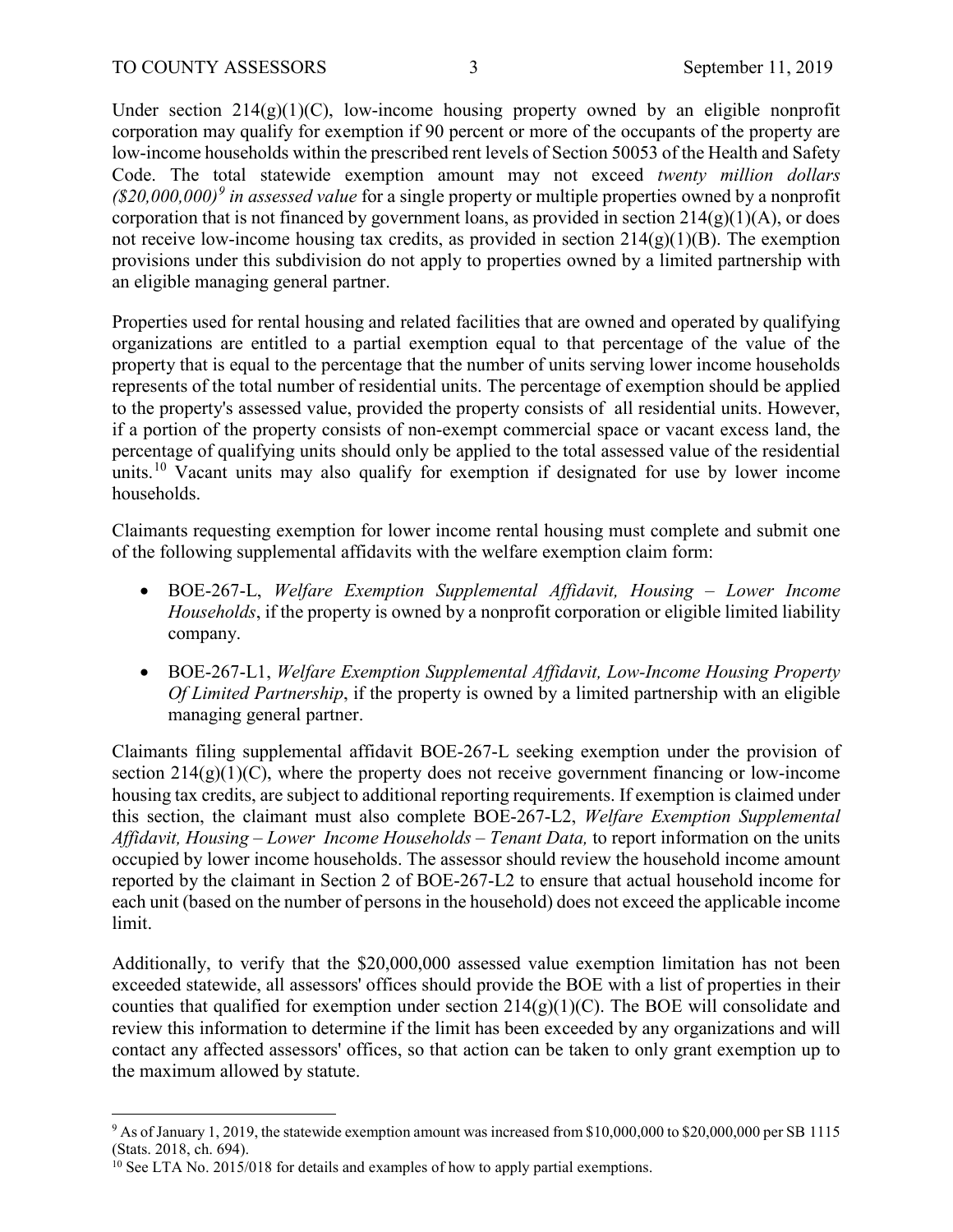Under section  $214(g)(1)(C)$ , low-income housing property owned by an eligible nonprofit corporation may qualify for exemption if 90 percent or more of the occupants of the property are low-income households within the prescribed rent levels of Section 50053 of the Health and Safety Code. The total statewide exemption amount may not exceed *twenty million dollars (\$20,000,000)[9](#page-2-0) in assessed value* for a single property or multiple properties owned by a nonprofit corporation that is not financed by government loans, as provided in section  $214(g)(1)(A)$ , or does not receive low-income housing tax credits, as provided in section  $214(g)(1)(B)$ . The exemption provisions under this subdivision do not apply to properties owned by a limited partnership with an eligible managing general partner.

Properties used for rental housing and related facilities that are owned and operated by qualifying organizations are entitled to a partial exemption equal to that percentage of the value of the property that is equal to the percentage that the number of units serving lower income households represents of the total number of residential units. The percentage of exemption should be applied to the property's assessed value, provided the property consists of all residential units. However, if a portion of the property consists of non-exempt commercial space or vacant excess land, the percentage of qualifying units should only be applied to the total assessed value of the residential units.<sup>[10](#page-2-1)</sup> Vacant units may also qualify for exemption if designated for use by lower income households.

Claimants requesting exemption for lower income rental housing must complete and submit one of the following supplemental affidavits with the welfare exemption claim form:

- BOE-267-L, *Welfare Exemption Supplemental Affidavit, Housing Lower Income Households*, if the property is owned by a nonprofit corporation or eligible limited liability company.
- BOE-267-L1, *Welfare Exemption Supplemental Affidavit, Low-Income Housing Property Of Limited Partnership*, if the property is owned by a limited partnership with an eligible managing general partner.

Claimants filing supplemental affidavit BOE-267-L seeking exemption under the provision of section  $214(g)(1)(C)$ , where the property does not receive government financing or low-income housing tax credits, are subject to additional reporting requirements. If exemption is claimed under this section, the claimant must also complete BOE-267-L2, *Welfare Exemption Supplemental Affidavit, Housing – Lower Income Households – Tenant Data,* to report information on the units occupied by lower income households. The assessor should review the household income amount reported by the claimant in Section 2 of BOE-267-L2 to ensure that actual household income for each unit (based on the number of persons in the household) does not exceed the applicable income limit.

Additionally, to verify that the \$20,000,000 assessed value exemption limitation has not been exceeded statewide, all assessors' offices should provide the BOE with a list of properties in their counties that qualified for exemption under section  $214(g)(1)(C)$ . The BOE will consolidate and review this information to determine if the limit has been exceeded by any organizations and will contact any affected assessors' offices, so that action can be taken to only grant exemption up to the maximum allowed by statute.

<span id="page-2-0"></span> $\overline{a}$ <sup>9</sup> As of January 1, 2019, the statewide exemption amount was increased from \$10,000,000 to \$20,000,000 per SB 1115 (Stats. 2018, ch. 694).

<span id="page-2-1"></span> $10$  See LTA No. 2015/018 for details and examples of how to apply partial exemptions.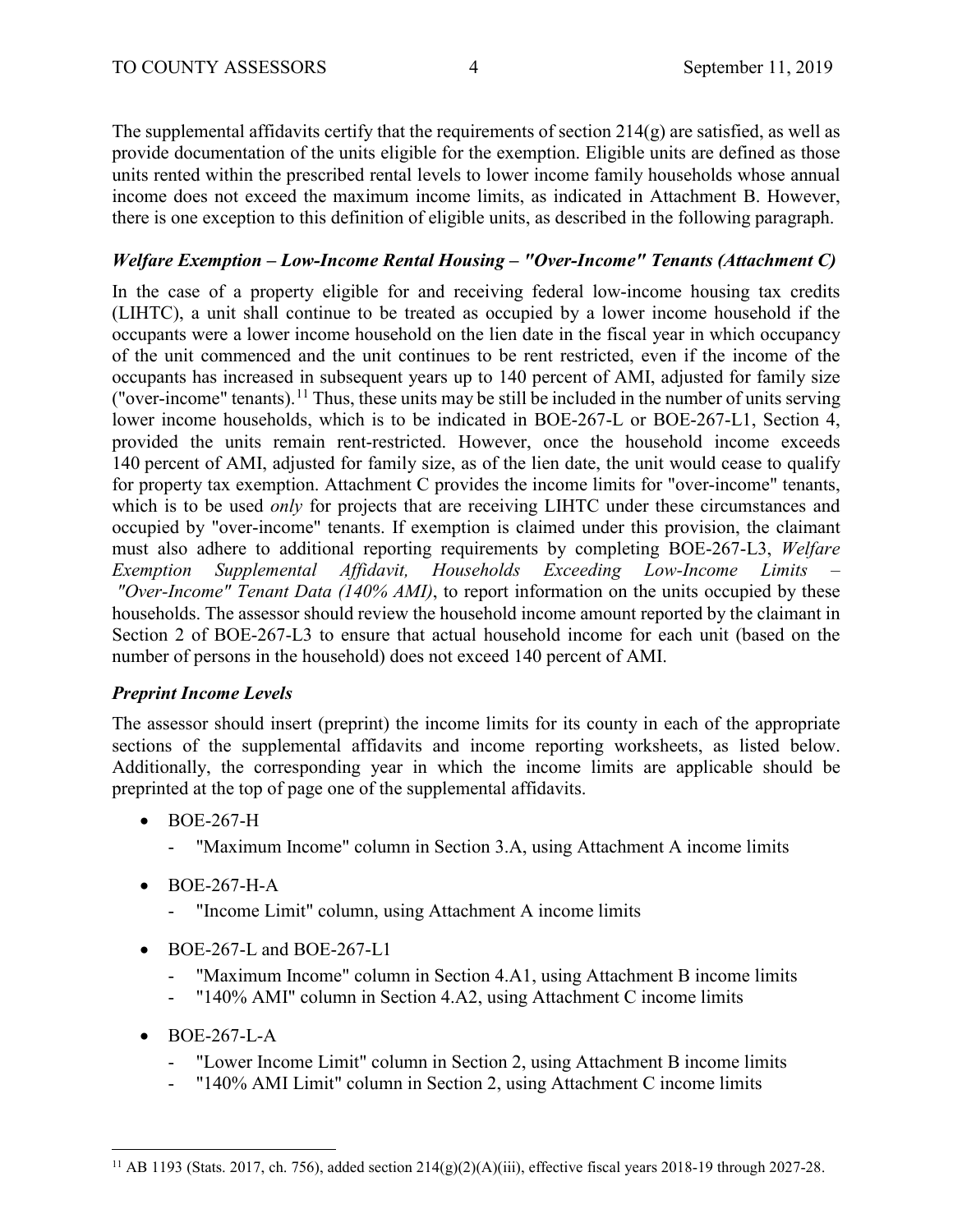The supplemental affidavits certify that the requirements of section  $214(g)$  are satisfied, as well as provide documentation of the units eligible for the exemption. Eligible units are defined as those units rented within the prescribed rental levels to lower income family households whose annual income does not exceed the maximum income limits, as indicated in Attachment B. However, there is one exception to this definition of eligible units, as described in the following paragraph.

# *Welfare Exemption – Low-Income Rental Housing – "Over-Income" Tenants (Attachment C)*

In the case of a property eligible for and receiving federal low-income housing tax credits (LIHTC), a unit shall continue to be treated as occupied by a lower income household if the occupants were a lower income household on the lien date in the fiscal year in which occupancy of the unit commenced and the unit continues to be rent restricted, even if the income of the occupants has increased in subsequent years up to 140 percent of AMI, adjusted for family size ("over-income" tenants).<sup>[11](#page-3-0)</sup> Thus, these units may be still be included in the number of units serving lower income households, which is to be indicated in BOE-267-L or BOE-267-L1, Section 4, provided the units remain rent-restricted. However, once the household income exceeds 140 percent of AMI, adjusted for family size, as of the lien date, the unit would cease to qualify for property tax exemption. Attachment C provides the income limits for "over-income" tenants, which is to be used *only* for projects that are receiving LIHTC under these circumstances and occupied by "over-income" tenants. If exemption is claimed under this provision, the claimant must also adhere to additional reporting requirements by completing BOE-267-L3, *Welfare Exemption Supplemental Affidavit, Households Exceeding Low-Income Limits – "Over-Income" Tenant Data (140% AMI)*, to report information on the units occupied by these households. The assessor should review the household income amount reported by the claimant in Section 2 of BOE-267-L3 to ensure that actual household income for each unit (based on the number of persons in the household) does not exceed 140 percent of AMI.

# *Preprint Income Levels*

The assessor should insert (preprint) the income limits for its county in each of the appropriate sections of the supplemental affidavits and income reporting worksheets, as listed below. Additionally, the corresponding year in which the income limits are applicable should be preprinted at the top of page one of the supplemental affidavits.

- BOE-267-H
	- "Maximum Income" column in Section 3.A, using Attachment A income limits
- BOE-267-H-A
	- "Income Limit" column, using Attachment A income limits
- $\bullet$  BOE-267-L and BOE-267-L1
	- "Maximum Income" column in Section 4.A1, using Attachment B income limits
	- "140% AMI" column in Section 4.A2, using Attachment C income limits
- BOE-267-L-A

 $\overline{a}$ 

- "Lower Income Limit" column in Section 2, using Attachment B income limits
- "140% AMI Limit" column in Section 2, using Attachment C income limits

<span id="page-3-0"></span><sup>&</sup>lt;sup>11</sup> AB 1193 (Stats. 2017, ch. 756), added section  $214(g)(2)(A)(iii)$ , effective fiscal years 2018-19 through 2027-28.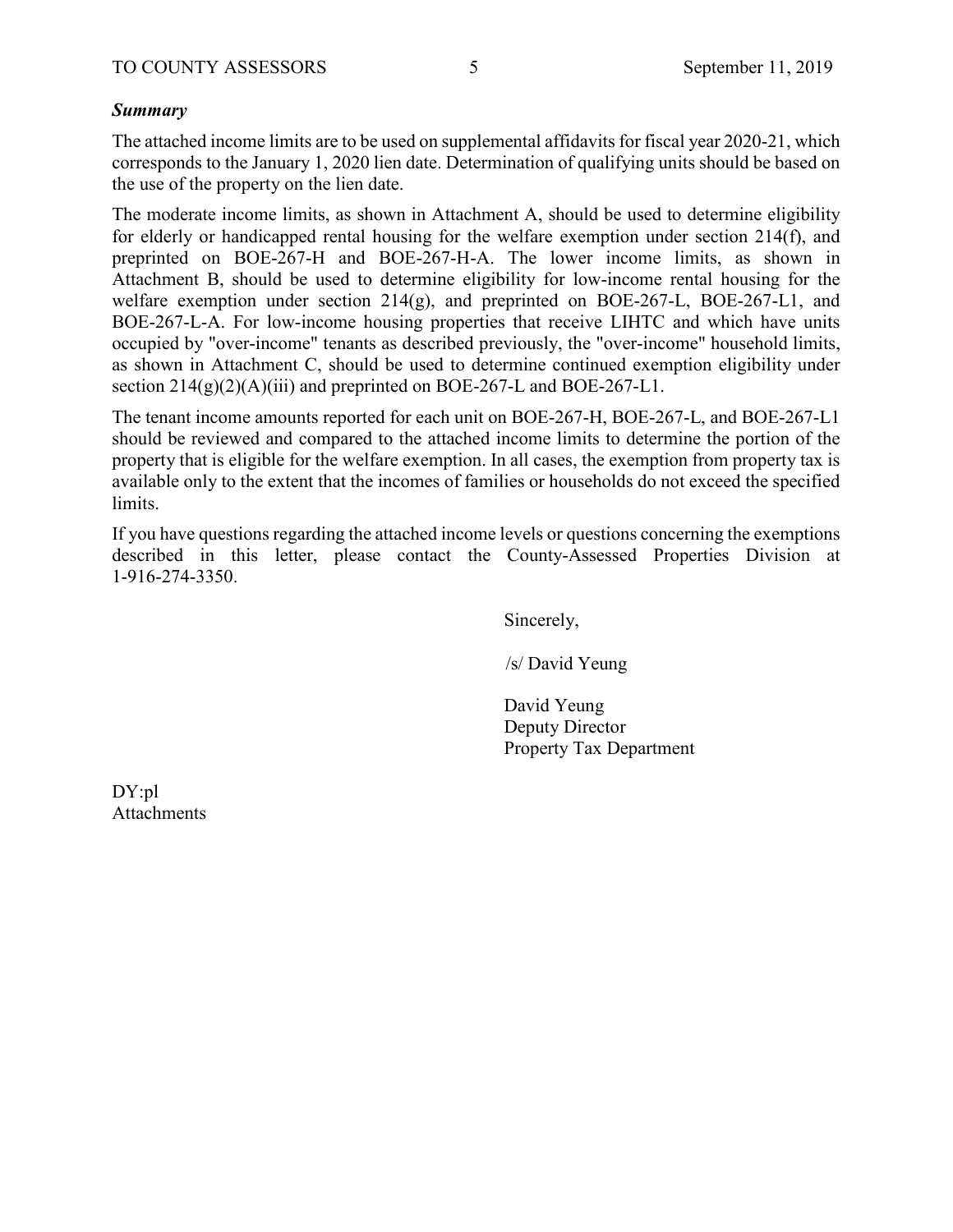## *Summary*

The attached income limits are to be used on supplemental affidavits for fiscal year 2020-21, which corresponds to the January 1, 2020 lien date. Determination of qualifying units should be based on the use of the property on the lien date.

The moderate income limits, as shown in Attachment A, should be used to determine eligibility for elderly or handicapped rental housing for the welfare exemption under section 214(f), and preprinted on BOE-267-H and BOE-267-H-A. The lower income limits, as shown in Attachment B, should be used to determine eligibility for low-income rental housing for the welfare exemption under section  $214(g)$ , and preprinted on BOE-267-L, BOE-267-L1, and BOE-267-L-A. For low-income housing properties that receive LIHTC and which have units occupied by "over-income" tenants as described previously, the "over-income" household limits, as shown in Attachment C, should be used to determine continued exemption eligibility under section  $214(g)(2)(A)(iii)$  and preprinted on BOE-267-L and BOE-267-L1.

The tenant income amounts reported for each unit on BOE-267-H, BOE-267-L, and BOE-267-L1 should be reviewed and compared to the attached income limits to determine the portion of the property that is eligible for the welfare exemption. In all cases, the exemption from property tax is available only to the extent that the incomes of families or households do not exceed the specified limits.

If you have questions regarding the attached income levels or questions concerning the exemptions described in this letter, please contact the County-Assessed Properties Division at 1-916-274-3350.

Sincerely,

/s/ David Yeung

David Yeung Deputy Director Property Tax Department

DY:pl Attachments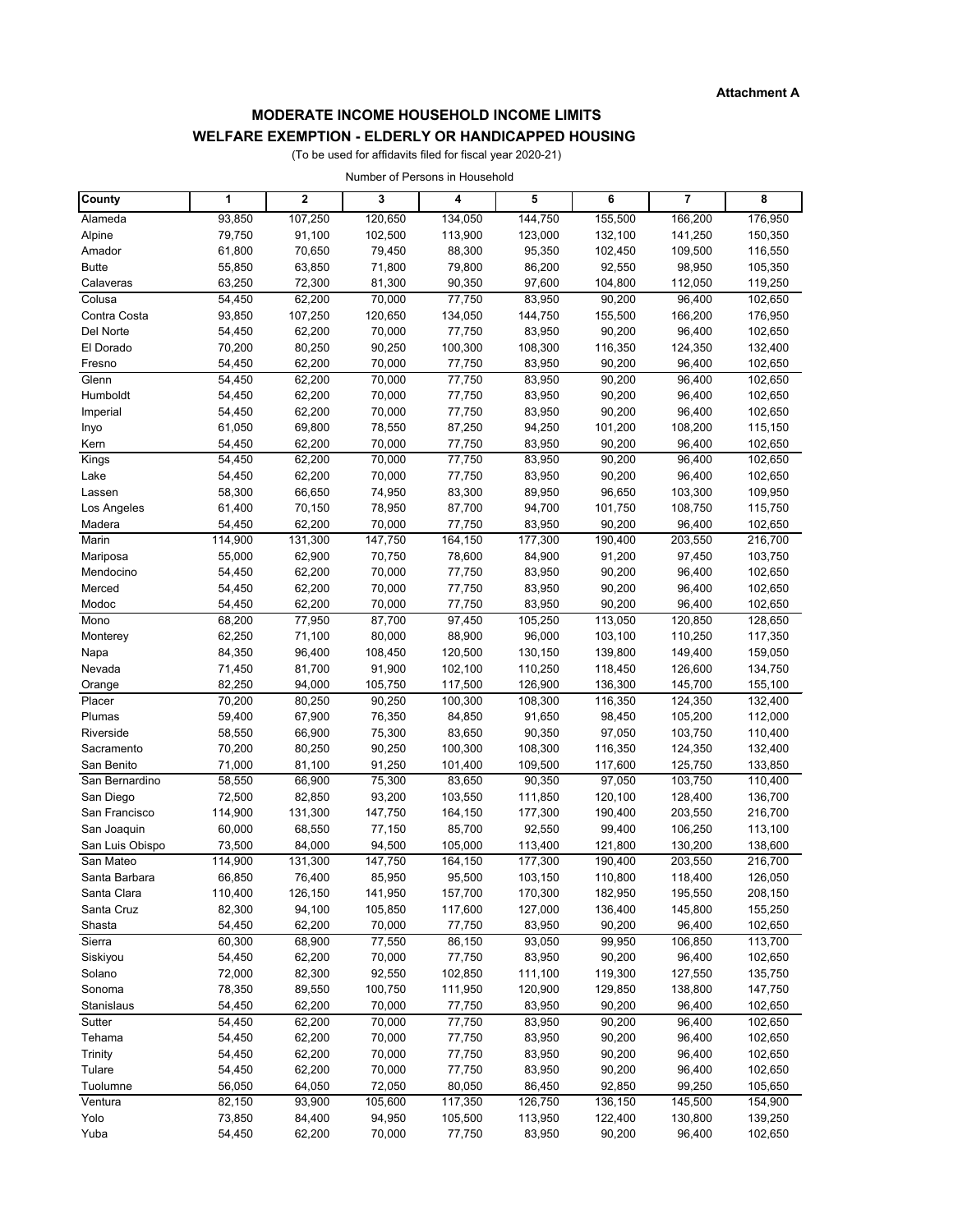### **MODERATE INCOME HOUSEHOLD INCOME LIMITS**

#### **WELFARE EXEMPTION - ELDERLY OR HANDICAPPED HOUSING**

(To be used for affidavits filed for fiscal year 2020-21)

Number of Persons in Household

| County           | 1                | $\mathbf{2}$     | 3                 | 4                 | 5                 | 6                  | 7                  | 8                  |
|------------------|------------------|------------------|-------------------|-------------------|-------------------|--------------------|--------------------|--------------------|
| Alameda          | 93,850           | 107,250          | 120,650           | 134,050           | 144,750           | 155,500            | 166,200            | 176,950            |
| Alpine           | 79,750           | 91,100           | 102,500           | 113,900           | 123,000           | 132,100            | 141,250            | 150,350            |
| Amador           | 61,800           | 70,650           | 79,450            | 88,300            | 95,350            | 102,450            | 109,500            | 116,550            |
| <b>Butte</b>     | 55,850           | 63,850           | 71,800            | 79,800            | 86,200            | 92,550             | 98,950             | 105,350            |
| Calaveras        | 63,250           | 72,300           | 81,300            | 90,350            | 97,600            | 104,800            | 112,050            | 119,250            |
| Colusa           | 54,450           | 62,200           | 70,000            | 77,750            | 83,950            | 90,200             | 96,400             | 102,650            |
| Contra Costa     | 93,850           | 107,250          | 120,650           | 134,050           | 144,750           | 155,500            | 166,200            | 176,950            |
| Del Norte        | 54,450           | 62,200           | 70,000            | 77,750            | 83,950            | 90,200             | 96,400             | 102,650            |
| El Dorado        | 70,200           | 80,250           | 90,250            | 100,300           | 108,300           | 116,350            | 124,350            | 132,400            |
| Fresno           | 54,450           | 62,200           | 70,000            | 77,750            | 83,950            | 90,200             | 96,400             | 102,650            |
| Glenn            | 54,450           | 62,200           | 70,000            | 77,750            | 83,950            | 90,200             | 96,400             | 102,650            |
| Humboldt         | 54,450           | 62,200           | 70,000            | 77,750            | 83,950            | 90,200             | 96,400             | 102,650            |
| Imperial         | 54,450<br>61,050 | 62,200<br>69,800 | 70,000<br>78,550  | 77,750            | 83,950            | 90,200             | 96,400             | 102,650<br>115,150 |
| Inyo<br>Kern     | 54,450           | 62,200           | 70,000            | 87,250<br>77,750  | 94,250<br>83,950  | 101,200<br>90,200  | 108,200<br>96,400  | 102,650            |
| Kings            | 54,450           | 62,200           | 70,000            | 77,750            | 83,950            | 90,200             | 96,400             | 102,650            |
| Lake             | 54,450           | 62,200           | 70,000            | 77,750            | 83,950            | 90,200             | 96,400             | 102,650            |
| Lassen           | 58,300           | 66,650           | 74,950            | 83,300            | 89,950            | 96,650             | 103,300            | 109,950            |
| Los Angeles      | 61,400           | 70,150           | 78,950            | 87,700            | 94,700            | 101,750            | 108,750            | 115,750            |
| Madera           | 54,450           | 62,200           | 70,000            | 77,750            | 83,950            | 90,200             | 96,400             | 102,650            |
| Marin            | 114,900          | 131,300          | 147,750           | 164,150           | 177,300           | 190,400            | 203,550            | 216,700            |
| Mariposa         | 55,000           | 62,900           | 70,750            | 78,600            | 84,900            | 91,200             | 97,450             | 103,750            |
| Mendocino        | 54,450           | 62,200           | 70,000            | 77,750            | 83,950            | 90,200             | 96,400             | 102,650            |
| Merced           | 54,450           | 62,200           | 70,000            | 77,750            | 83,950            | 90,200             | 96,400             | 102,650            |
| Modoc            | 54,450           | 62,200           | 70,000            | 77,750            | 83,950            | 90,200             | 96,400             | 102,650            |
| Mono             | 68,200           | 77,950           | 87,700            | 97,450            | 105,250           | 113,050            | 120,850            | 128,650            |
| Monterey         | 62,250           | 71,100           | 80,000            | 88,900            | 96,000            | 103,100            | 110,250            | 117,350            |
| Napa             | 84,350           | 96,400           | 108,450           | 120,500           | 130,150           | 139,800            | 149,400            | 159,050            |
| Nevada           | 71,450           | 81,700           | 91,900            | 102,100           | 110,250           | 118,450            | 126,600            | 134,750            |
| Orange           | 82,250           | 94,000           | 105,750           | 117,500           | 126,900           | 136,300            | 145,700            | 155,100            |
| Placer<br>Plumas | 70,200<br>59,400 | 80,250<br>67,900 | 90,250<br>76,350  | 100,300<br>84,850 | 108,300<br>91,650 | 116,350<br>98,450  | 124,350<br>105,200 | 132,400<br>112,000 |
| Riverside        | 58,550           | 66,900           | 75,300            | 83,650            | 90,350            | 97,050             | 103,750            | 110,400            |
| Sacramento       | 70,200           | 80,250           | 90,250            | 100,300           | 108,300           | 116,350            | 124,350            | 132,400            |
| San Benito       | 71,000           | 81,100           | 91,250            | 101,400           | 109,500           | 117,600            | 125,750            | 133,850            |
| San Bernardino   | 58,550           | 66,900           | 75,300            | 83,650            | 90,350            | 97,050             | 103,750            | 110,400            |
| San Diego        | 72,500           | 82,850           | 93,200            | 103,550           | 111,850           | 120,100            | 128,400            | 136,700            |
| San Francisco    | 114,900          | 131,300          | 147,750           | 164,150           | 177,300           | 190,400            | 203,550            | 216,700            |
| San Joaquin      | 60,000           | 68,550           | 77,150            | 85,700            | 92,550            | 99,400             | 106,250            | 113,100            |
| San Luis Obispo  | 73,500           | 84,000           | 94,500            | 105,000           | 113,400           | 121,800            | 130,200            | 138,600            |
| San Mateo        | 114,900          | 131,300          | 147,750           | 164,150           | 177,300           | 190,400            | 203,550            | 216,700            |
| Santa Barbara    | 66,850           | 76,400           | 85,950            | 95,500            | 103,150           | 110,800            | 118,400            | 126,050            |
| Santa Clara      | 110,400          | 126,150          | 141,950           | 157,700           | 170,300           | 182,950            | 195,550            | 208,150            |
| Santa Cruz       | 82,300           | 94,100           | 105,850           | 117,600           | 127,000           | 136,400            | 145,800            | 155,250            |
| Shasta           | 54,450           | 62,200           | 70,000            | 77,750            | 83,950            | 90,200             | 96,400             | 102,650            |
| Sierra           | 60,300           | 68,900           | 77,550            | 86,150            | 93,050            | 99,950             | 106,850            | 113,700            |
| Siskiyou         | 54,450           | 62,200           | 70,000            | 77,750            | 83,950            | 90,200             | 96,400             | 102,650            |
| Solano<br>Sonoma | 72,000           | 82,300           | 92,550<br>100,750 | 102,850           | 111,100           | 119,300<br>129,850 | 127,550<br>138,800 | 135,750<br>147,750 |
| Stanislaus       | 78,350<br>54,450 | 89,550<br>62,200 | 70,000            | 111,950<br>77,750 | 120,900<br>83,950 | 90,200             | 96,400             | 102,650            |
| Sutter           | 54,450           | 62,200           | 70,000            | 77,750            | 83,950            | 90,200             | 96,400             | 102,650            |
| Tehama           | 54,450           | 62,200           | 70,000            | 77,750            | 83,950            | 90,200             | 96,400             | 102,650            |
| Trinity          | 54,450           | 62,200           | 70,000            | 77,750            | 83,950            | 90,200             | 96,400             | 102,650            |
| Tulare           | 54,450           | 62,200           | 70,000            | 77,750            | 83,950            | 90,200             | 96,400             | 102,650            |
| Tuolumne         | 56,050           | 64,050           | 72,050            | 80,050            | 86,450            | 92,850             | 99,250             | 105,650            |
| Ventura          | 82,150           | 93,900           | 105,600           | 117,350           | 126,750           | 136,150            | 145,500            | 154,900            |
| Yolo             | 73,850           | 84,400           | 94,950            | 105,500           | 113,950           | 122,400            | 130,800            | 139,250            |
| Yuba             | 54,450           | 62,200           | 70,000            | 77,750            | 83,950            | 90,200             | 96,400             | 102,650            |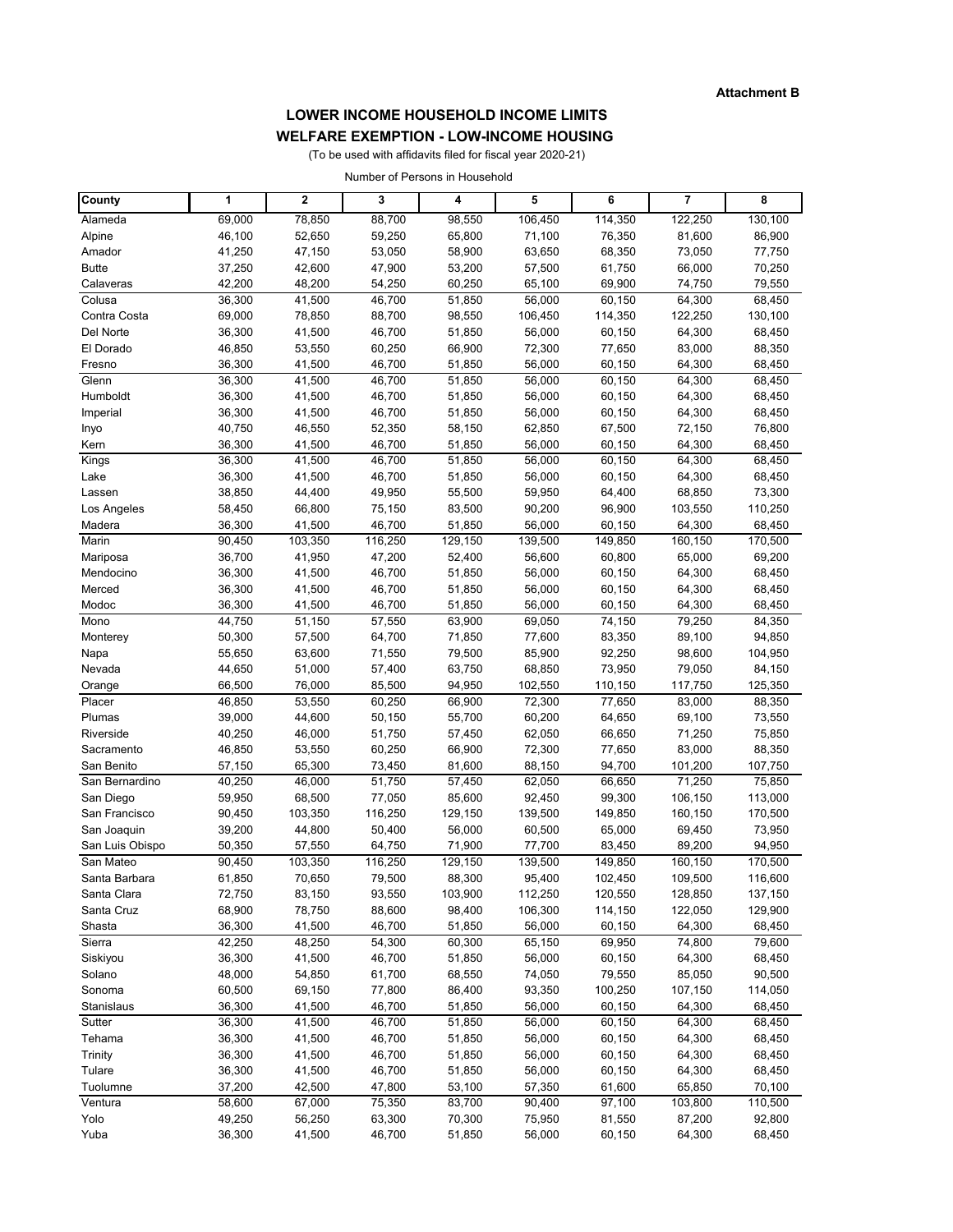# **LOWER INCOME HOUSEHOLD INCOME LIMITS**

## **WELFARE EXEMPTION - LOW-INCOME HOUSING**

(To be used with affidavits filed for fiscal year 2020-21)

Number of Persons in Household

| County                       | 1                | $\mathbf{2}$     | 3                | 4                | 5                | 6                | 7                 | 8                 |
|------------------------------|------------------|------------------|------------------|------------------|------------------|------------------|-------------------|-------------------|
| Alameda                      | 69,000           | 78,850           | 88,700           | 98,550           | 106,450          | 114,350          | 122,250           | 130,100           |
| Alpine                       | 46,100           | 52,650           | 59,250           | 65,800           | 71,100           | 76,350           | 81,600            | 86,900            |
| Amador                       | 41,250           | 47,150           | 53,050           | 58,900           | 63,650           | 68,350           | 73,050            | 77,750            |
| <b>Butte</b>                 | 37,250           | 42,600           | 47,900           | 53,200           | 57,500           | 61,750           | 66,000            | 70,250            |
| Calaveras                    | 42,200           | 48,200           | 54,250           | 60,250           | 65,100           | 69,900           | 74,750            | 79,550            |
| Colusa                       | 36,300           | 41,500           | 46,700           | 51,850           | 56,000           | 60,150           | 64,300            | 68,450            |
| Contra Costa                 | 69,000           | 78,850           | 88,700           | 98,550           | 106,450          | 114,350          | 122,250           | 130,100           |
| Del Norte                    | 36,300           | 41,500           | 46,700           | 51,850           | 56,000           | 60,150           | 64,300            | 68,450            |
| El Dorado                    | 46,850           | 53,550           | 60,250           | 66,900           | 72,300           | 77,650           | 83,000            | 88,350            |
| Fresno                       | 36,300           | 41,500           | 46,700           | 51,850           | 56,000           | 60,150           | 64,300            | 68,450            |
| Glenn                        | 36,300           | 41,500           | 46,700           | 51,850           | 56,000           | 60,150           | 64,300            | 68,450            |
| Humboldt                     | 36,300           | 41,500           | 46,700           | 51,850           | 56,000           | 60,150           | 64,300            | 68,450            |
| Imperial                     | 36,300           | 41,500           | 46,700           | 51,850           | 56,000           | 60,150           | 64,300            | 68,450            |
| Inyo                         | 40,750           | 46,550<br>41,500 | 52,350<br>46,700 | 58,150           | 62,850<br>56,000 | 67,500<br>60,150 | 72,150<br>64,300  | 76,800            |
| Kern<br>Kings                | 36,300<br>36,300 | 41,500           | 46,700           | 51,850<br>51,850 | 56,000           | 60,150           | 64,300            | 68,450<br>68,450  |
| Lake                         | 36,300           | 41,500           | 46,700           | 51,850           | 56,000           | 60,150           | 64,300            | 68,450            |
| Lassen                       | 38,850           | 44,400           | 49,950           | 55,500           | 59,950           | 64,400           | 68,850            | 73,300            |
| Los Angeles                  | 58,450           | 66,800           | 75,150           | 83,500           | 90,200           | 96,900           | 103,550           | 110,250           |
| Madera                       | 36,300           | 41,500           | 46,700           | 51,850           | 56,000           | 60,150           | 64,300            | 68,450            |
| Marin                        | 90,450           | 103,350          | 116,250          | 129,150          | 139,500          | 149,850          | 160,150           | 170,500           |
| Mariposa                     | 36,700           | 41,950           | 47,200           | 52,400           | 56,600           | 60,800           | 65,000            | 69,200            |
| Mendocino                    | 36,300           | 41,500           | 46,700           | 51,850           | 56,000           | 60,150           | 64,300            | 68,450            |
| Merced                       | 36,300           | 41,500           | 46,700           | 51,850           | 56,000           | 60,150           | 64,300            | 68,450            |
| Modoc                        | 36,300           | 41,500           | 46,700           | 51,850           | 56,000           | 60,150           | 64,300            | 68,450            |
| Mono                         | 44,750           | 51,150           | 57,550           | 63,900           | 69,050           | 74,150           | 79,250            | 84,350            |
| Monterey                     | 50,300           | 57,500           | 64,700           | 71,850           | 77,600           | 83,350           | 89,100            | 94,850            |
| Napa                         | 55,650           | 63,600           | 71,550           | 79,500           | 85,900           | 92,250           | 98,600            | 104,950           |
| Nevada                       | 44,650           | 51,000           | 57,400           | 63,750           | 68,850           | 73,950           | 79,050            | 84,150            |
| Orange                       | 66,500           | 76,000           | 85,500           | 94,950           | 102,550          | 110,150          | 117,750           | 125,350           |
| Placer                       | 46,850           | 53,550           | 60,250           | 66,900           | 72,300           | 77,650           | 83,000            | 88,350            |
| Plumas                       | 39,000           | 44,600           | 50,150           | 55,700           | 60,200           | 64,650           | 69,100            | 73,550            |
| Riverside                    | 40,250           | 46,000           | 51,750           | 57,450           | 62,050           | 66,650           | 71,250            | 75,850            |
| Sacramento                   | 46,850           | 53,550           | 60,250           | 66,900           | 72,300           | 77,650           | 83,000            | 88,350            |
| San Benito<br>San Bernardino | 57,150<br>40,250 | 65,300<br>46,000 | 73,450<br>51,750 | 81,600<br>57,450 | 88,150<br>62,050 | 94,700<br>66,650 | 101,200<br>71,250 | 107,750<br>75,850 |
| San Diego                    | 59,950           | 68,500           | 77,050           | 85,600           | 92,450           | 99,300           | 106,150           | 113,000           |
| San Francisco                | 90,450           | 103,350          | 116,250          | 129,150          | 139,500          | 149,850          | 160,150           | 170,500           |
| San Joaquin                  | 39,200           | 44,800           | 50,400           | 56,000           | 60,500           | 65,000           | 69,450            | 73,950            |
| San Luis Obispo              | 50,350           | 57,550           | 64,750           | 71,900           | 77,700           | 83,450           | 89,200            | 94,950            |
| San Mateo                    | 90,450           | 103,350          | 116,250          | 129,150          | 139,500          | 149,850          | 160,150           | 170,500           |
| Santa Barbara                | 61,850           | 70,650           | 79,500           | 88,300           | 95,400           | 102,450          | 109,500           | 116,600           |
| Santa Clara                  | 72,750           | 83,150           | 93,550           | 103,900          | 112,250          | 120,550          | 128,850           | 137,150           |
| Santa Cruz                   | 68,900           | 78,750           | 88,600           | 98,400           | 106,300          | 114,150          | 122,050           | 129,900           |
| Shasta                       | 36,300           | 41,500           | 46,700           | 51,850           | 56,000           | 60,150           | 64,300            | 68,450            |
| Sierra                       | 42,250           | 48,250           | 54,300           | 60,300           | 65,150           | 69,950           | 74,800            | 79,600            |
| Siskiyou                     | 36,300           | 41,500           | 46,700           | 51,850           | 56,000           | 60,150           | 64,300            | 68,450            |
| Solano                       | 48,000           | 54,850           | 61,700           | 68,550           | 74,050           | 79,550           | 85,050            | 90,500            |
| Sonoma                       | 60,500           | 69,150           | 77,800           | 86,400           | 93,350           | 100,250          | 107,150           | 114,050           |
| Stanislaus                   | 36,300           | 41,500           | 46,700           | 51,850           | 56,000           | 60,150           | 64,300            | 68,450            |
| Sutter                       | 36,300           | 41,500           | 46,700           | 51,850           | 56,000           | 60,150           | 64,300            | 68,450            |
| Tehama                       | 36,300           | 41,500           | 46,700           | 51,850           | 56,000           | 60,150           | 64,300            | 68,450            |
| Trinity                      | 36,300           | 41,500           | 46,700           | 51,850           | 56,000           | 60,150           | 64,300            | 68,450            |
| Tulare                       | 36,300           | 41,500           | 46,700           | 51,850           | 56,000           | 60,150           | 64,300            | 68,450            |
| Tuolumne                     | 37,200           | 42,500           | 47,800           | 53,100           | 57,350           | 61,600           | 65,850            | 70,100            |
| $\overline{V}$ entura        | 58,600           | 67,000           | 75,350           | 83,700           | 90,400           | 97,100           | 103,800           | 110,500           |
| Yolo<br>Yuba                 | 49,250<br>36,300 | 56,250<br>41,500 | 63,300<br>46,700 | 70,300<br>51,850 | 75,950<br>56,000 | 81,550           | 87,200<br>64,300  | 92,800<br>68,450  |
|                              |                  |                  |                  |                  |                  | 60,150           |                   |                   |